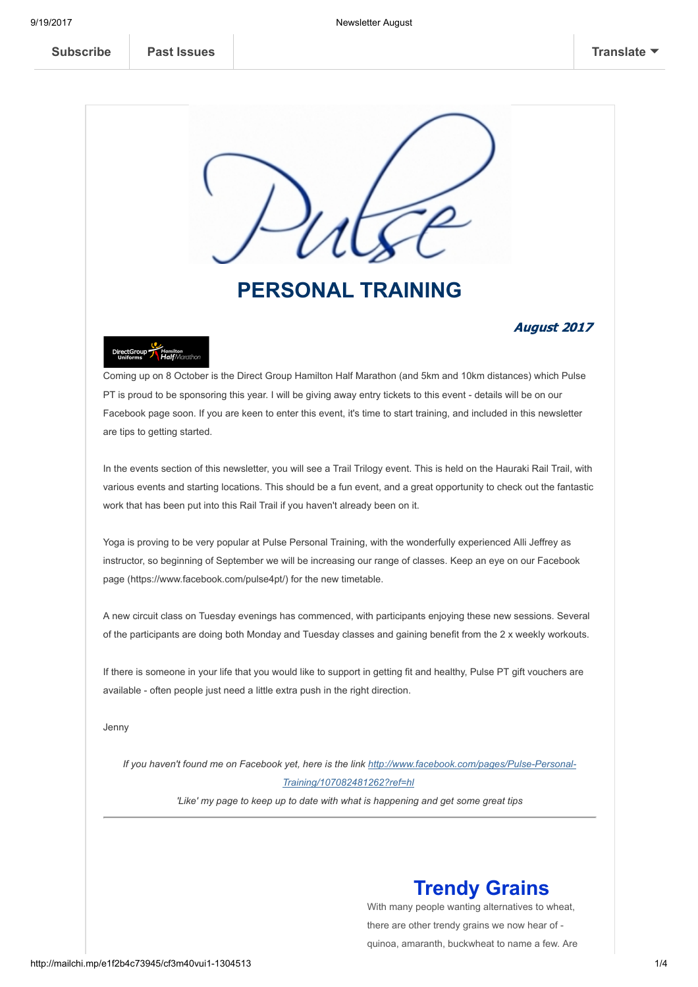

# PERSONAL TRAINING

## August 2017



Coming up on 8 October is the Direct Group Hamilton Half Marathon (and 5km and 10km distances) which Pulse PT is proud to be sponsoring this year. I will be giving away entry tickets to this event - details will be on our Facebook page soon. If you are keen to enter this event, it's time to start training, and included in this newsletter are tips to getting started.

In the events section of this newsletter, you will see a Trail Trilogy event. This is held on the Hauraki Rail Trail, with various events and starting locations. This should be a fun event, and a great opportunity to check out the fantastic work that has been put into this Rail Trail if you haven't already been on it.

Yoga is proving to be very popular at Pulse Personal Training, with the wonderfully experienced Alli Jeffrey as instructor, so beginning of September we will be increasing our range of classes. Keep an eye on our Facebook page (https://www.facebook.com/pulse4pt/) for the new timetable.

A new circuit class on Tuesday evenings has commenced, with participants enjoying these new sessions. Several of the participants are doing both Monday and Tuesday classes and gaining benefit from the 2 x weekly workouts.

If there is someone in your life that you would like to support in getting fit and healthy, Pulse PT gift vouchers are available - often people just need a little extra push in the right direction.

Jenny

If you haven't found me on Facebook yet, here is the link [http://www.facebook.com/pages/Pulse-Personal-](https://www.facebook.com/Pulse-Personal-Training-107082481262/)Training/107082481262?ref=hl 'Like' my page to keep up to date with what is happening and get some great tips

# Trendy Grains

With many people wanting alternatives to wheat, there are other trendy grains we now hear of quinoa, amaranth, buckwheat to name a few. Are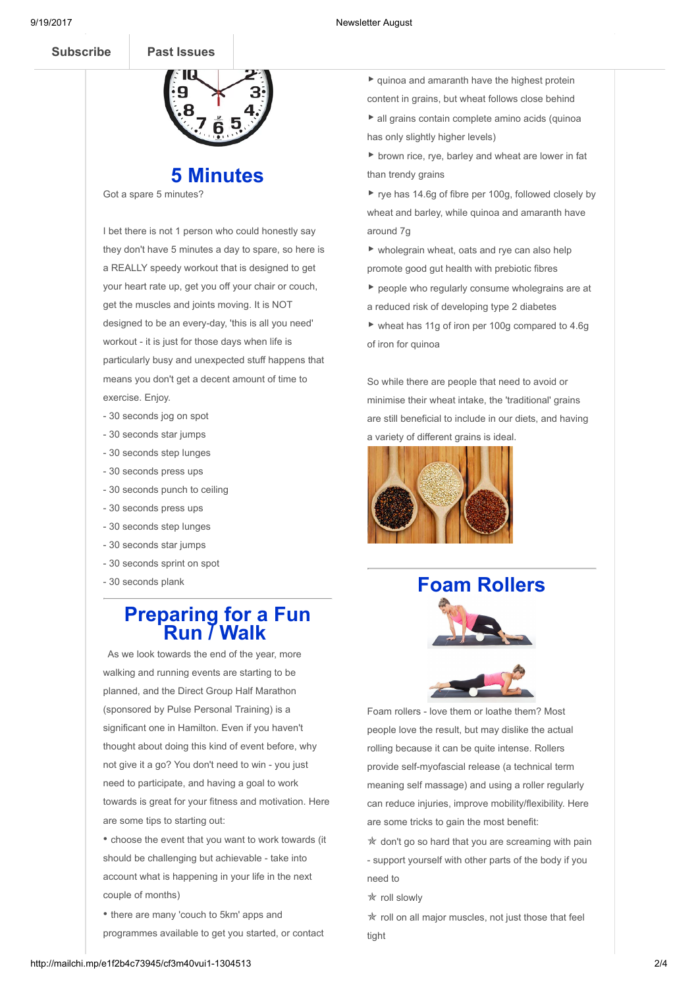

# 5 Minutes

Got a spare 5 minutes?

I bet there is not 1 person who could honestly say they don't have 5 minutes a day to spare, so here is a REALLY speedy workout that is designed to get your heart rate up, get you off your chair or couch, get the muscles and joints moving. It is NOT designed to be an every-day, 'this is all you need' workout - it is just for those days when life is particularly busy and unexpected stuff happens that means you don't get a decent amount of time to exercise. Enjoy.

- 30 seconds jog on spot
- 30 seconds star jumps
- 30 seconds step lunges
- 30 seconds press ups
- 30 seconds punch to ceiling
- 30 seconds press ups
- 30 seconds step lunges
- 30 seconds star jumps
- 30 seconds sprint on spot
- 30 seconds plank

## Preparing for a Fun **Run / Walk**

As we look towards the end of the year, more walking and running events are starting to be planned, and the Direct Group Half Marathon (sponsored by Pulse Personal Training) is a significant one in Hamilton. Even if you haven't thought about doing this kind of event before, why not give it a go? You don't need to win - you just need to participate, and having a goal to work towards is great for your fitness and motivation. Here are some tips to starting out:

• choose the event that you want to work towards (it should be challenging but achievable - take into account what is happening in your life in the next couple of months)

• there are many 'couch to 5km' apps and programmes available to get you started, or contact

 $\blacktriangleright$  quinoa and amaranth have the highest protein content in grains, but wheat follows close behind

▶ all grains contain complete amino acids (quinoa has only slightly higher levels)

▶ brown rice, rye, barley and wheat are lower in fat than trendy grains

▶ rye has 14.6g of fibre per 100g, followed closely by wheat and barley, while quinoa and amaranth have around 7g

▶ wholegrain wheat, oats and rye can also help promote good gut health with prebiotic fibres

▶ people who regularly consume wholegrains are at a reduced risk of developing type 2 diabetes

▶ wheat has 11g of iron per 100g compared to 4.6g of iron for quinoa

So while there are people that need to avoid or minimise their wheat intake, the 'traditional' grains are still beneficial to include in our diets, and having a variety of different grains is ideal.



# Foam Rollers



Foam rollers - love them or loathe them? Most people love the result, but may dislike the actual rolling because it can be quite intense. Rollers provide self-myofascial release (a technical term meaning self massage) and using a roller regularly can reduce injuries, improve mobility/flexibility. Here are some tricks to gain the most benefit:

 $*$  don't go so hard that you are screaming with pain - support yourself with other parts of the body if you need to

✯ roll slowly

✯ roll on all major muscles, not just those that feel tight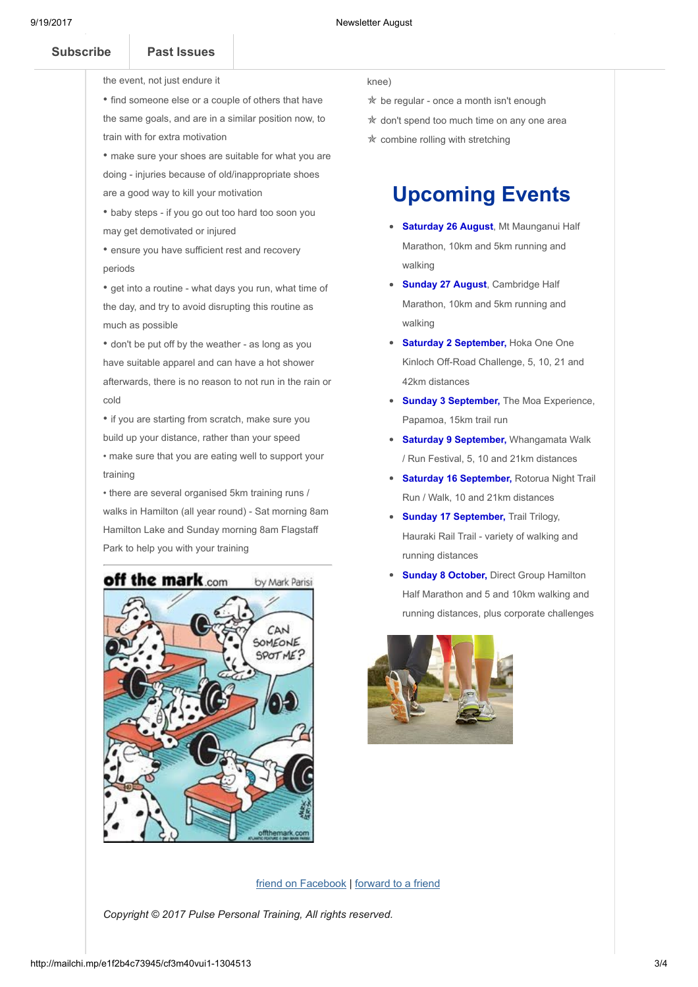- 
- [Subscribe](http://eepurl.com/oUPzX) Past Issues  $\mathbf{v}$  you want to put in enough training that you endow that  $\mathbf{v}$ 
	- the event, not just endure it

• find someone else or a couple of others that have the same goals, and are in a similar position now, to train with for extra motivation

• make sure your shoes are suitable for what you are doing - injuries because of old/inappropriate shoes are a good way to kill your motivation

• baby steps - if you go out too hard too soon you may get demotivated or injured

• ensure you have sufficient rest and recovery periods

• get into a routine - what days you run, what time of the day, and try to avoid disrupting this routine as much as possible

• don't be put off by the weather - as long as you have suitable apparel and can have a hot shower afterwards, there is no reason to not run in the rain or cold

• if you are starting from scratch, make sure you build up your distance, rather than your speed • make sure that you are eating well to support your

training

• there are several organised 5km training runs / walks in Hamilton (all year round) - Sat morning 8am Hamilton Lake and Sunday morning 8am Flagstaff Park to help you with your training



#### knee)

- $*$  be regular once a month isn't enough
- ✯ don't spend too much time on any one area
- ✯ combine rolling with stretching

# Upcoming Events

- Saturday 26 August, Mt Maunganui Half Marathon, 10km and 5km running and walking
- Sunday 27 August, Cambridge Half Marathon, 10km and 5km running and walking
- Saturday 2 September, Hoka One One Kinloch Off-Road Challenge, 5, 10, 21 and 42km distances
- Sunday 3 September, The Moa Experience, Papamoa, 15km trail run
- Saturday 9 September, Whangamata Walk / Run Festival, 5, 10 and 21km distances
- Saturday 16 September, Rotorua Night Trail Run / Walk, 10 and 21km distances
- Sunday 17 September, Trail Trilogy, Hauraki Rail Trail - variety of walking and running distances
- **Sunday 8 October, Direct Group Hamilton** Half Marathon and 5 and 10km walking and running distances, plus corporate challenges



### friend on Facebook | [forward](http://us5.forward-to-friend.com/forward?u=653a2a46572e066523511e5b4&id=d89f8bfcdf&e=[UNIQID]) to a friend

Copyright © 2017 Pulse Personal Training, All rights reserved.